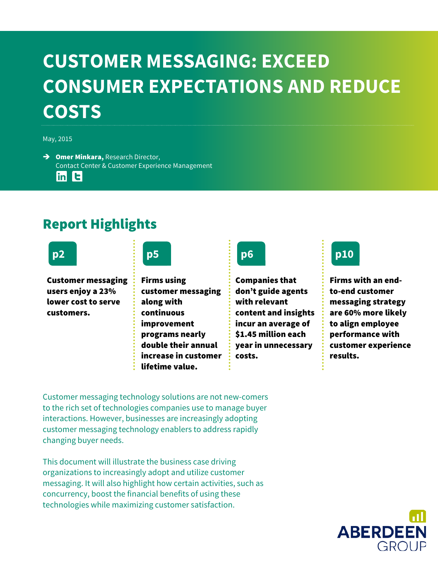# **CUSTOMER MESSAGING: EXCEED CONSUMER EXPECTATIONS AND REDUCE COSTS**

May, 2015

 $\rightarrow$  Omer Minkara, Research Director, Contact Center & Customer Experience Management

 $\ln$  t

# Report Highlights

Customer messaging users enjoy a 23% lower cost to serve customers.

**p2 p5 p6 p10**

Firms using customer messaging along with continuous improvement programs nearly double their annual increase in customer lifetime value.



Companies that don't guide agents with relevant content and insights incur an average of \$1.45 million each year in unnecessary costs.



Firms with an endto-end customer messaging strategy are 60% more likely to align employee performance with customer experience results.

Customer messaging technology solutions are not new-comers to the rich set of technologies companies use to manage buyer interactions. However, businesses are increasingly adopting customer messaging technology enablers to address rapidly changing buyer needs.

This document will illustrate the business case driving organizations to increasingly adopt and utilize customer messaging. It will also highlight how certain activities, such as concurrency, boost the financial benefits of using these technologies while maximizing customer satisfaction.

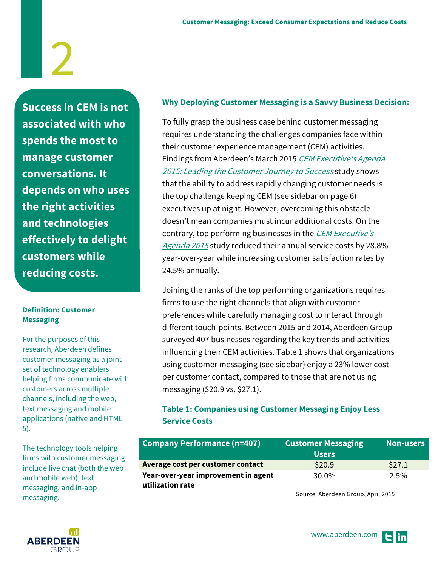**Success in CEM is not associated with who spends the most to manage customer conversations. It depends on who uses the right activities and technologies effectively to delight customers while reducing costs.**

#### **Definition: Customer Messaging**

For the purposes of this research, Aberdeen defines customer messaging as a joint set of technology enablers helping firms communicate with customers across multiple channels, including the web, text messaging and mobile applications (native and HTML 5).

The technology tools helping firms with customer messaging include live chat (both the web and mobile web), text messaging, and in-app messaging.

### **Why Deploying Customer Messaging is a Savvy Business Decision:**

To fully grasp the business case behind customer messaging requires understanding the challenges companies face within their customer experience management (CEM) activities. Findings from Aberdeen's March 2015 CEM Executive's Agenda [2015: Leading the Customer Journey to Success](http://aberdeen.com/research/10247/10247-RR-CEM.aspx/content.aspx) study shows that the ability to address rapidly changing customer needs is the top challenge keeping CEM (see sidebar on page 6) executives up at night. However, overcoming this obstacle doesn't mean companies must incur additional costs. On the contrary, top performing businesses in the CEM Executive's [Agenda 2015](http://aberdeen.com/research/10247/10247-RR-CEM.aspx/content.aspx) study reduced their annual service costs by 28.8% year-over-year while increasing customer satisfaction rates by 24.5% annually.

Joining the ranks of the top performing organizations requires firms to use the right channels that align with customer preferences while carefully managing cost to interact through different touch-points. Between 2015 and 2014, Aberdeen Group surveyed 407 businesses regarding the key trends and activities influencing their CEM activities. Table 1 shows that organizations using customer messaging (see sidebar) enjoy a 23% lower cost per customer contact, compared to those that are not using messaging (\$20.9 vs. \$27.1).

## **Table 1: Companies using Customer Messaging Enjoy Less Service Costs**

| <b>Company Performance (n=407)</b>                      | <b>Customer Messaging</b><br><b>Users</b> | <b>Non-users</b> |
|---------------------------------------------------------|-------------------------------------------|------------------|
| Average cost per customer contact                       | \$20.9                                    | \$27.1           |
| Year-over-year improvement in agent<br>utilization rate | 30.0%                                     | $2.5\%$          |

Source: Aberdeen Group, April 2015

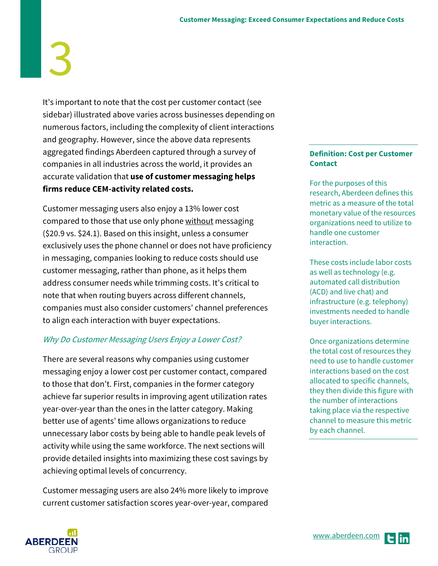It's important to note that the cost per customer contact (see sidebar) illustrated above varies across businesses depending on numerous factors, including the complexity of client interactions and geography. However, since the above data represents aggregated findings Aberdeen captured through a survey of companies in all industries across the world, it provides an accurate validation that **use of customer messaging helps firms reduce CEM-activity related costs.**

Customer messaging users also enjoy a 13% lower cost compared to those that use only phone without messaging (\$20.9 vs. \$24.1). Based on this insight, unless a consumer exclusively uses the phone channel or does not have proficiency in messaging, companies looking to reduce costs should use customer messaging, rather than phone, as it helps them address consumer needs while trimming costs. It's critical to note that when routing buyers across different channels, companies must also consider customers' channel preferences to align each interaction with buyer expectations.

### Why Do Customer Messaging Users Enjoy a Lower Cost?

There are several reasons why companies using customer messaging enjoy a lower cost per customer contact, compared to those that don't. First, companies in the former category achieve far superior results in improving agent utilization rates year-over-year than the ones in the latter category. Making better use of agents' time allows organizations to reduce unnecessary labor costs by being able to handle peak levels of activity while using the same workforce. The next sections will provide detailed insights into maximizing these cost savings by achieving optimal levels of concurrency.

Customer messaging users are also 24% more likely to improve current customer satisfaction scores year-over-year, compared

#### **Definition: Cost per Customer Contact**

For the purposes of this research, Aberdeen defines this metric as a measure of the total monetary value of the resources organizations need to utilize to handle one customer interaction.

These costs include labor costs as well as technology (e.g. automated call distribution (ACD) and live chat) and infrastructure (e.g. telephony) investments needed to handle buyer interactions.

Once organizations determine the total cost of resources they need to use to handle customer interactions based on the cost allocated to specific channels, they then divide this figure with the number of interactions taking place via the respective channel to measure this metric by each channel.

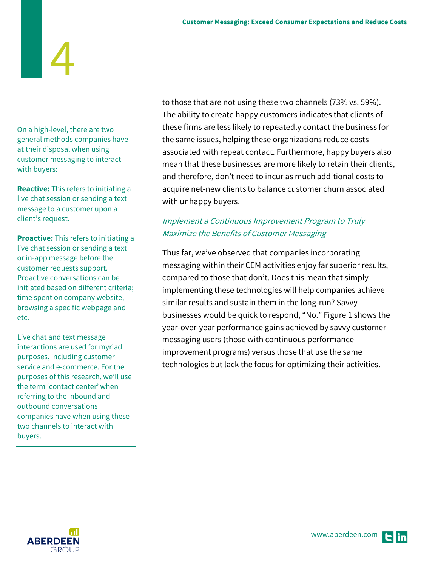On a high-level, there are two general methods companies have at their disposal when using customer messaging to interact with buyers:

**Reactive:** This refers to initiating a live chat session or sending a text message to a customer upon a client's request.

**Proactive:** This refers to initiating a live chat session or sending a text or in-app message before the customer requests support. Proactive conversations can be initiated based on different criteria; time spent on company website, browsing a specific webpage and etc.

Live chat and text message interactions are used for myriad purposes, including customer service and e-commerce. For the purposes of this research, we'll use the term 'contact center' when referring to the inbound and outbound conversations companies have when using these two channels to interact with buyers.

to those that are not using these two channels (73% vs. 59%). The ability to create happy customers indicates that clients of these firms are less likely to repeatedly contact the business for the same issues, helping these organizations reduce costs associated with repeat contact. Furthermore, happy buyers also mean that these businesses are more likely to retain their clients, and therefore, don't need to incur as much additional costs to acquire net-new clients to balance customer churn associated with unhappy buyers.

# Implement a Continuous Improvement Program to Truly Maximize the Benefits of Customer Messaging

Thus far, we've observed that companies incorporating messaging within their CEM activities enjoy far superior results, compared to those that don't. Does this mean that simply implementing these technologies will help companies achieve similar results and sustain them in the long-run? Savvy businesses would be quick to respond, "No." Figure 1 shows the year-over-year performance gains achieved by savvy customer messaging users (those with continuous performance improvement programs) versus those that use the same technologies but lack the focus for optimizing their activities.

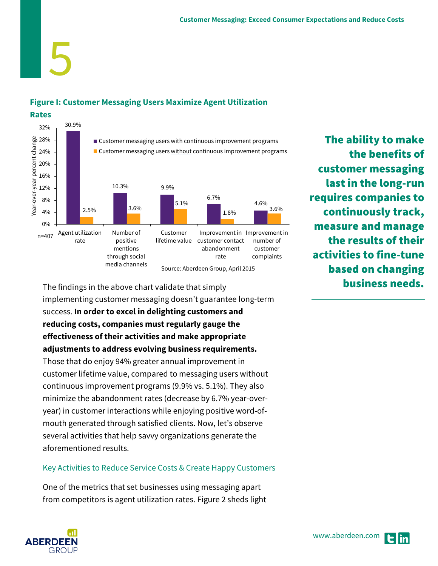## **Figure I: Customer Messaging Users Maximize Agent Utilization**

5



The findings in the above chart validate that simply implementing customer messaging doesn't guarantee long-term success. **In order to excel in delighting customers and reducing costs, companies must regularly gauge the effectiveness of their activities and make appropriate adjustments to address evolving business requirements.** 

Those that do enjoy 94% greater annual improvement in customer lifetime value, compared to messaging users without continuous improvement programs (9.9% vs. 5.1%). They also minimize the abandonment rates (decrease by 6.7% year-overyear) in customer interactions while enjoying positive word-ofmouth generated through satisfied clients. Now, let's observe several activities that help savvy organizations generate the aforementioned results.

### Key Activities to Reduce Service Costs & Create Happy Customers

One of the metrics that set businesses using messaging apart from competitors is agent utilization rates. Figure 2 sheds light



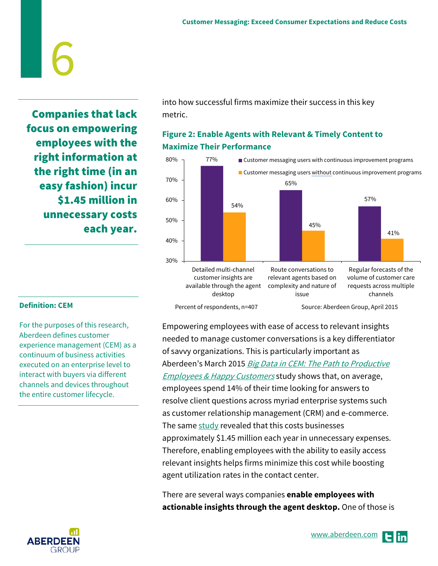Companies that lack focus on empowering employees with the right information at the right time (in an easy fashion) incur \$1.45 million in unnecessary costs each year.

6

into how successful firms maximize their success in this key metric.

## **Figure 2: Enable Agents with Relevant & Timely Content to Maximize Their Performance**



#### **Definition: CEM**

For the purposes of this research, Aberdeen defines customer experience management (CEM) as a continuum of business activities executed on an enterprise level to interact with buyers via different channels and devices throughout the entire customer lifecycle.



Empowering employees with ease of access to relevant insights needed to manage customer conversations is a key differentiator of savvy organizations. This is particularly important as Aberdeen's March 2015 Big Data in CEM: The Path to Productive **[Employees & Happy Customers](http://aberdeen.com/research/10249/10249-RR-Big-Data-CEM.aspx/content.aspx) study shows that, on average,** employees spend 14% of their time looking for answers to resolve client questions across myriad enterprise systems such as customer relationship management (CRM) and e-commerce. The same  $study$  revealed that this costs businesses approximately \$1.45 million each year in unnecessary expenses. Therefore, enabling employees with the ability to easily access relevant insights helps firms minimize this cost while boosting agent utilization rates in the contact center.

There are several ways companies **enable employees with actionable insights through the agent desktop.** One of those is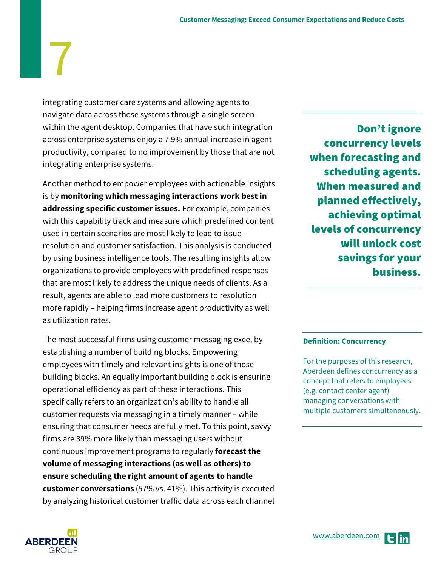integrating customer care systems and allowing agents to navigate data across those systems through a single screen within the agent desktop. Companies that have such integration across enterprise systems enjoy a 7.9% annual increase in agent productivity, compared to no improvement by those that are not integrating enterprise systems.

Another method to empower employees with actionable insights is by **monitoring which messaging interactions work best in addressing specific customer issues.** For example, companies with this capability track and measure which predefined content used in certain scenarios are most likely to lead to issue resolution and customer satisfaction. This analysis is conducted by using business intelligence tools. The resulting insights allow organizations to provide employees with predefined responses that are most likely to address the unique needs of clients. As a result, agents are able to lead more customers to resolution more rapidly – helping firms increase agent productivity as well as utilization rates.

The most successful firms using customer messaging excel by establishing a number of building blocks. Empowering employees with timely and relevant insights is one of those building blocks. An equally important building block is ensuring operational efficiency as part of these interactions. This specifically refers to an organization's ability to handle all customer requests via messaging in a timely manner – while ensuring that consumer needs are fully met. To this point, savvy firms are 39% more likely than messaging users without continuous improvement programs to regularly **forecast the volume of messaging interactions (as well as others) to ensure scheduling the right amount of agents to handle customer conversations** (57% vs. 41%). This activity is executed by analyzing historical customer traffic data across each channel

Don't ignore concurrency levels when forecasting and scheduling agents. When measured and planned effectively, achieving optimal levels of concurrency will unlock cost savings for your business.

#### **Definition: Concurrency**

For the purposes of this research, Aberdeen defines concurrency as a concept that refers to employees (e.g. contact center agent) managing conversations with multiple customers simultaneously.



7

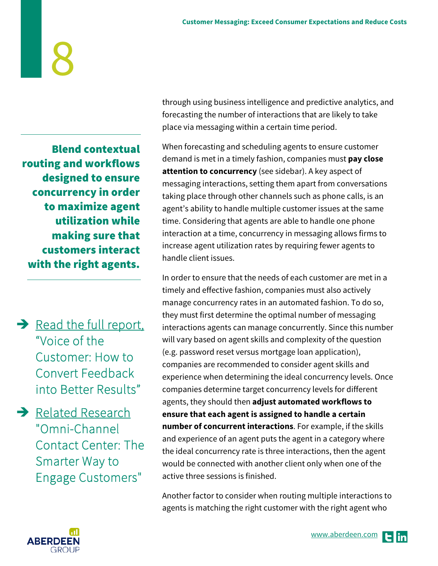Blend contextual routing and workflows designed to ensure concurrency in order to maximize agent utilization while making sure that customers interact with the right agents.

 $\rightarrow$  Read the full report, ["Voice of the](http://www.aberdeen.com/aberdeen-library/1047/RR-VoC-operations.aspx)  [Customer: How to](http://www.aberdeen.com/aberdeen-library/1047/RR-VoC-operations.aspx)  [Convert Feedback](http://www.aberdeen.com/aberdeen-library/1047/RR-VoC-operations.aspx)  [into Better Results"](http://www.aberdeen.com/aberdeen-library/1047/RR-VoC-operations.aspx) 

 $\rightarrow$  Related Research ["Omni-Channel](http://aberdeen.com/research/9981/RR-omni-channel-center.aspx/content.aspx)  [Contact Center: The](http://aberdeen.com/research/9981/RR-omni-channel-center.aspx/content.aspx)  [Smarter Way to](http://aberdeen.com/research/9981/RR-omni-channel-center.aspx/content.aspx)  [Engage Customers"](http://aberdeen.com/research/9981/RR-omni-channel-center.aspx/content.aspx) 

through using business intelligence and predictive analytics, and forecasting the number of interactions that are likely to take place via messaging within a certain time period.

When forecasting and scheduling agents to ensure customer demand is met in a timely fashion, companies must **pay close attention to concurrency** (see sidebar). A key aspect of messaging interactions, setting them apart from conversations taking place through other channels such as phone calls, is an agent's ability to handle multiple customer issues at the same time. Considering that agents are able to handle one phone interaction at a time, concurrency in messaging allows firms to increase agent utilization rates by requiring fewer agents to handle client issues.

In order to ensure that the needs of each customer are met in a timely and effective fashion, companies must also actively manage concurrency rates in an automated fashion. To do so, they must first determine the optimal number of messaging interactions agents can manage concurrently. Since this number will vary based on agent skills and complexity of the question (e.g. password reset versus mortgage loan application), companies are recommended to consider agent skills and experience when determining the ideal concurrency levels. Once companies determine target concurrency levels for different agents, they should then **adjust automated workflows to ensure that each agent is assigned to handle a certain number of concurrent interactions**. For example, if the skills and experience of an agent puts the agent in a category where the ideal concurrency rate is three interactions, then the agent would be connected with another client only when one of the active three sessions is finished.

Another factor to consider when routing multiple interactions to agents is matching the right customer with the right agent who

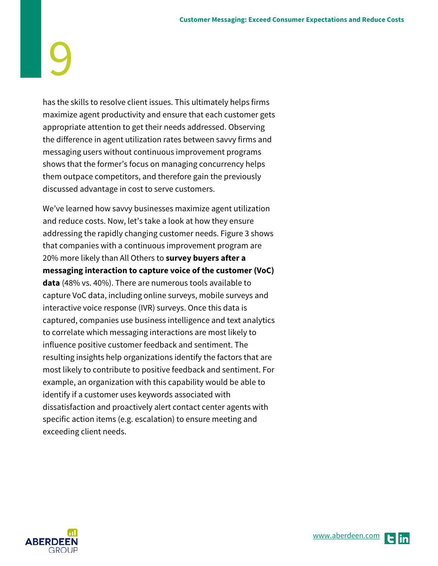has the skills to resolve client issues. This ultimately helps firms maximize agent productivity and ensure that each customer gets appropriate attention to get their needs addressed. Observing the difference in agent utilization rates between savvy firms and messaging users without continuous improvement programs shows that the former's focus on managing concurrency helps them outpace competitors, and therefore gain the previously discussed advantage in cost to serve customers.

We've learned how savvy businesses maximize agent utilization and reduce costs. Now, let's take a look at how they ensure addressing the rapidly changing customer needs. Figure 3 shows that companies with a continuous improvement program are 20% more likely than All Others to **survey buyers after a messaging interaction to capture voice of the customer (VoC) data** (48% vs. 40%). There are numerous tools available to capture VoC data, including online surveys, mobile surveys and interactive voice response (IVR) surveys. Once this data is captured, companies use business intelligence and text analytics to correlate which messaging interactions are most likely to influence positive customer feedback and sentiment. The resulting insights help organizations identify the factors that are most likely to contribute to positive feedback and sentiment. For example, an organization with this capability would be able to identify if a customer uses keywords associated with dissatisfaction and proactively alert contact center agents with specific action items (e.g. escalation) to ensure meeting and exceeding client needs.

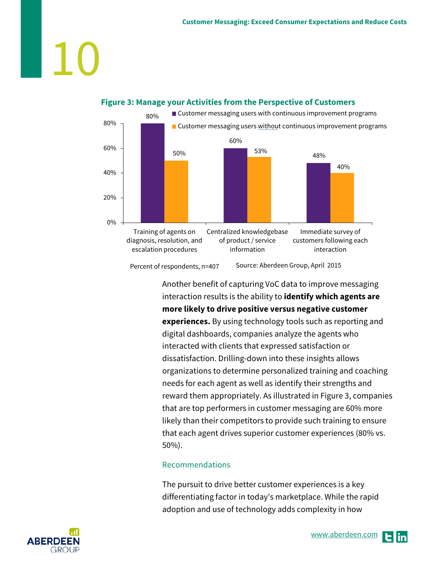# $\overline{\phantom{a}}$



#### **Figure 3: Manage your Activities from the Perspective of Customers**

Percent of respondents, n=407 Source: Aberdeen Group, April 2015

> Another benefit of capturing VoC data to improve messaging interaction results is the ability to **identify which agents are more likely to drive positive versus negative customer experiences.** By using technology tools such as reporting and digital dashboards, companies analyze the agents who interacted with clients that expressed satisfaction or dissatisfaction. Drilling-down into these insights allows organizations to determine personalized training and coaching needs for each agent as well as identify their strengths and reward them appropriately. As illustrated in Figure 3, companies that are top performers in customer messaging are 60% more likely than their competitors to provide such training to ensure that each agent drives superior customer experiences (80% vs. 50%).

### Recommendations

The pursuit to drive better customer experiences is a key differentiating factor in today's marketplace. While the rapid adoption and use of technology adds complexity in how

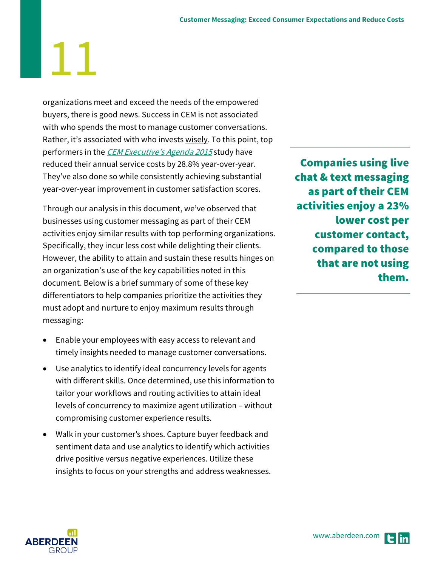organizations meet and exceed the needs of the empowered buyers, there is good news. Success in CEM is not associated with who spends the most to manage customer conversations. Rather, it's associated with who invests wisely. To this point, top performers in the [CEM Executive's Agenda 2015](http://aberdeen.com/research/10247/10247-RR-CEM.aspx/content.aspx) study have reduced their annual service costs by 28.8% year-over-year. They've also done so while consistently achieving substantial year-over-year improvement in customer satisfaction scores.

Through our analysis in this document, we've observed that businesses using customer messaging as part of their CEM activities enjoy similar results with top performing organizations. Specifically, they incur less cost while delighting their clients. However, the ability to attain and sustain these results hinges on an organization's use of the key capabilities noted in this document. Below is a brief summary of some of these key differentiators to help companies prioritize the activities they must adopt and nurture to enjoy maximum results through messaging:

- Enable your employees with easy access to relevant and timely insights needed to manage customer conversations.
- Use analytics to identify ideal concurrency levels for agents with different skills. Once determined, use this information to tailor your workflows and routing activities to attain ideal levels of concurrency to maximize agent utilization – without compromising customer experience results.
- Walk in your customer's shoes. Capture buyer feedback and sentiment data and use analytics to identify which activities drive positive versus negative experiences. Utilize these insights to focus on your strengths and address weaknesses.

Companies using live chat & text messaging as part of their CEM activities enjoy a 23% lower cost per customer contact, compared to those that are not using them.